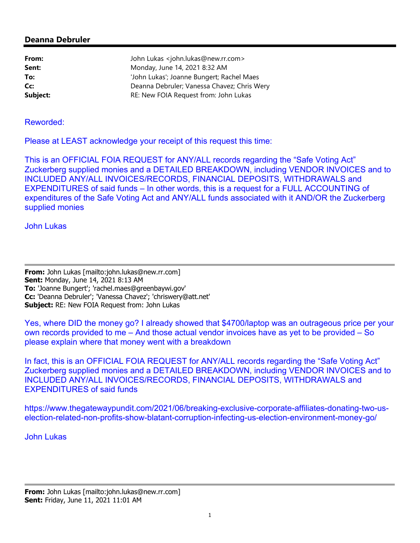# **Deanna Debruler**

| From:    | John Lukas <john.lukas@new.rr.com></john.lukas@new.rr.com> |
|----------|------------------------------------------------------------|
| Sent:    | Monday, June 14, 2021 8:32 AM                              |
| To:      | 'John Lukas'; Joanne Bungert; Rachel Maes                  |
| Cc:      | Deanna Debruler; Vanessa Chavez; Chris Wery                |
| Subject: | RE: New FOIA Request from: John Lukas                      |

## Reworded:

Please at LEAST acknowledge your receipt of this request this time:

This is an OFFICIAL FOIA REQUEST for ANY/ALL records regarding the "Safe Voting Act" Zuckerberg supplied monies and a DETAILED BREAKDOWN, including VENDOR INVOICES and to INCLUDED ANY/ALL INVOICES/RECORDS, FINANCIAL DEPOSITS, WITHDRAWALS and EXPENDITURES of said funds – In other words, this is a request for a FULL ACCOUNTING of expenditures of the Safe Voting Act and ANY/ALL funds associated with it AND/OR the Zuckerberg supplied monies

## John Lukas

**From:** John Lukas [mailto:john.lukas@new.rr.com] **Sent:** Monday, June 14, 2021 8:13 AM **To:** 'Joanne Bungert'; 'rachel.maes@greenbaywi.gov' **Cc:** 'Deanna Debruler'; 'Vanessa Chavez'; 'chriswery@att.net' **Subject:** RE: New FOIA Request from: John Lukas

Yes, where DID the money go? I already showed that \$4700/laptop was an outrageous price per your own records provided to me – And those actual vendor invoices have as yet to be provided – So please explain where that money went with a breakdown

In fact, this is an OFFICIAL FOIA REQUEST for ANY/ALL records regarding the "Safe Voting Act" Zuckerberg supplied monies and a DETAILED BREAKDOWN, including VENDOR INVOICES and to INCLUDED ANY/ALL INVOICES/RECORDS, FINANCIAL DEPOSITS, WITHDRAWALS and EXPENDITURES of said funds

https://www.thegatewaypundit.com/2021/06/breaking-exclusive-corporate-affiliates-donating-two-uselection-related-non-profits-show-blatant-corruption-infecting-us-election-environment-money-go/

#### John Lukas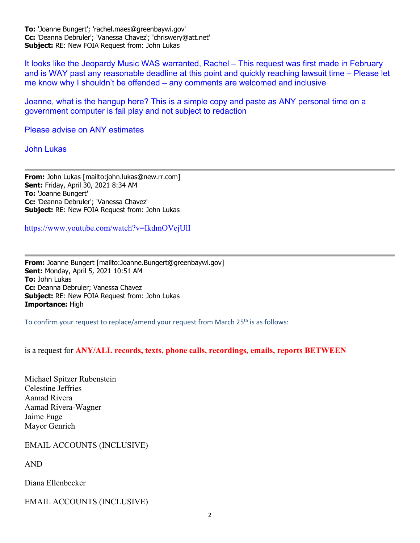**To:** 'Joanne Bungert'; 'rachel.maes@greenbaywi.gov' **Cc:** 'Deanna Debruler'; 'Vanessa Chavez'; 'chriswery@att.net' **Subject:** RE: New FOIA Request from: John Lukas

It looks like the Jeopardy Music WAS warranted, Rachel – This request was first made in February and is WAY past any reasonable deadline at this point and quickly reaching lawsuit time – Please let me know why I shouldn't be offended – any comments are welcomed and inclusive

Joanne, what is the hangup here? This is a simple copy and paste as ANY personal time on a government computer is fail play and not subject to redaction

Please advise on ANY estimates

John Lukas

**From:** John Lukas [mailto:john.lukas@new.rr.com] **Sent:** Friday, April 30, 2021 8:34 AM **To:** 'Joanne Bungert' **Cc:** 'Deanna Debruler'; 'Vanessa Chavez' **Subject:** RE: New FOIA Request from: John Lukas

https://www.youtube.com/watch?v=IkdmOVejUlI

**From:** Joanne Bungert [mailto:Joanne.Bungert@greenbaywi.gov] **Sent:** Monday, April 5, 2021 10:51 AM **To:** John Lukas **Cc:** Deanna Debruler; Vanessa Chavez **Subject:** RE: New FOIA Request from: John Lukas **Importance:** High

To confirm your request to replace/amend your request from March  $25<sup>th</sup>$  is as follows:

is a request for **ANY/ALL records, texts, phone calls, recordings, emails, reports BETWEEN**

Michael Spitzer Rubenstein Celestine Jeffries Aamad Rivera Aamad Rivera-Wagner Jaime Fuge Mayor Genrich

EMAIL ACCOUNTS (INCLUSIVE)

AND

Diana Ellenbecker

EMAIL ACCOUNTS (INCLUSIVE)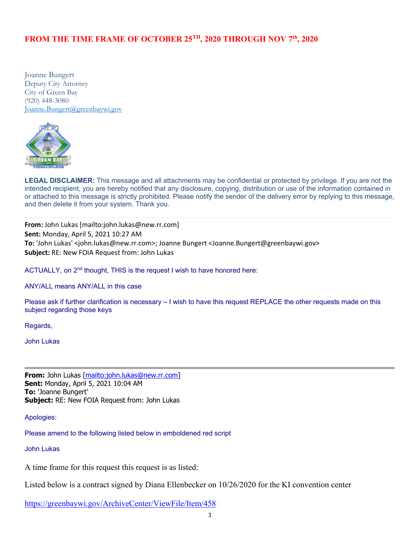## **FROM THE TIME FRAME OF OCTOBER 25TH, 2020 THROUGH NOV 7th, 2020**

Joanne Bungert Deputy City Attorney City of Green Bay (920) 448-3080 Joanne.Bungert@greenbaywi.gov



LEGAL DISCLAIMER: This message and all attachments may be confidential or protected by privilege. If you are not the intended recipient, you are hereby notified that any disclosure, copying, distribution or use of the information contained in or attached to this message is strictly prohibited. Please notify the sender of the delivery error by replying to this message, and then delete it from your system. Thank you.

**From:** John Lukas [mailto:john.lukas@new.rr.com] **Sent:** Monday, April 5, 2021 10:27 AM **To:** 'John Lukas' <john.lukas@new.rr.com>; Joanne Bungert <Joanne.Bungert@greenbaywi.gov> **Subject:** RE: New FOIA Request from: John Lukas

ACTUALLY, on 2<sup>nd</sup> thought, THIS is the request I wish to have honored here:

ANY/ALL means ANY/ALL in this case

Please ask if further clarification is necessary – I wish to have this request REPLACE the other requests made on this subject regarding those keys

Regards,

John Lukas

**From:** John Lukas [mailto:john.lukas@new.rr.com] **Sent:** Monday, April 5, 2021 10:04 AM **To:** 'Joanne Bungert' **Subject:** RE: New FOIA Request from: John Lukas

Apologies:

Please amend to the following listed below in emboldened red script

John Lukas

A time frame for this request this request is as listed:

Listed below is a contract signed by Diana Ellenbecker on 10/26/2020 for the KI convention center

https://greenbaywi.gov/ArchiveCenter/ViewFile/Item/458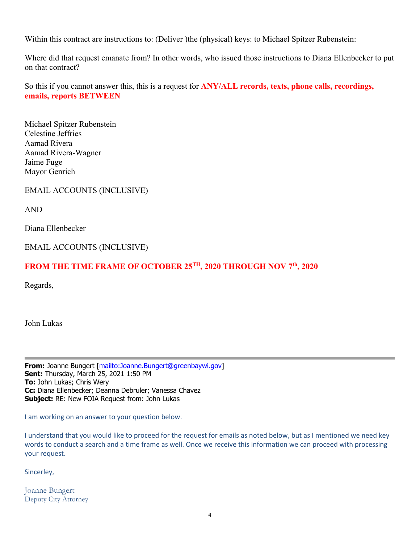Within this contract are instructions to: (Deliver )the (physical) keys: to Michael Spitzer Rubenstein:

Where did that request emanate from? In other words, who issued those instructions to Diana Ellenbecker to put on that contract?

So this if you cannot answer this, this is a request for **ANY/ALL records, texts, phone calls, recordings, emails, reports BETWEEN**

Michael Spitzer Rubenstein Celestine Jeffries Aamad Rivera Aamad Rivera-Wagner Jaime Fuge Mayor Genrich

EMAIL ACCOUNTS (INCLUSIVE)

AND

Diana Ellenbecker

EMAIL ACCOUNTS (INCLUSIVE)

# FROM THE TIME FRAME OF OCTOBER 25<sup>TH</sup>, 2020 THROUGH NOV 7<sup>th</sup>, 2020

Regards,

John Lukas

**From:** Joanne Bungert [mailto:Joanne.Bungert@greenbaywi.gov] **Sent:** Thursday, March 25, 2021 1:50 PM **To:** John Lukas; Chris Wery **Cc:** Diana Ellenbecker; Deanna Debruler; Vanessa Chavez **Subject:** RE: New FOIA Request from: John Lukas

I am working on an answer to your question below.

I understand that you would like to proceed for the request for emails as noted below, but as I mentioned we need key words to conduct a search and a time frame as well. Once we receive this information we can proceed with processing your request.

Sincerley,

Joanne Bungert Deputy City Attorney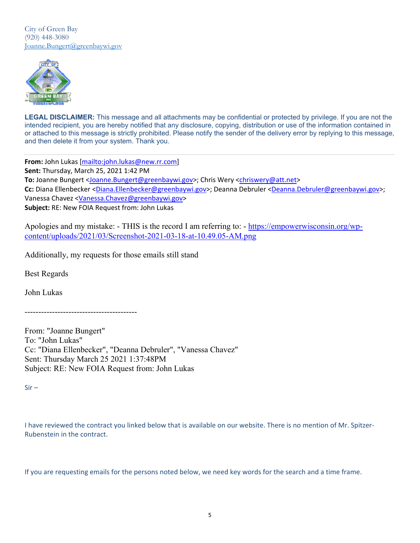City of Green Bay (920) 448-3080 Joanne.Bungert@greenbaywi.gov



LEGAL DISCLAIMER: This message and all attachments may be confidential or protected by privilege. If you are not the intended recipient, you are hereby notified that any disclosure, copying, distribution or use of the information contained in or attached to this message is strictly prohibited. Please notify the sender of the delivery error by replying to this message, and then delete it from your system. Thank you.

**From:** John Lukas [mailto:john.lukas@new.rr.com] **Sent:** Thursday, March 25, 2021 1:42 PM To: Joanne Bungert <Joanne.Bungert@greenbaywi.gov>; Chris Wery <chriswery@att.net> **Cc:** Diana Ellenbecker <Diana.Ellenbecker@greenbaywi.gov>; Deanna Debruler <Deanna.Debruler@greenbaywi.gov>; Vanessa Chavez <Vanessa.Chavez@greenbaywi.gov> **Subject:** RE: New FOIA Request from: John Lukas

Apologies and my mistake: - THIS is the record I am referring to: - https://empowerwisconsin.org/wpcontent/uploads/2021/03/Screenshot-2021-03-18-at-10.49.05-AM.png

Additionally, my requests for those emails still stand

Best Regards

John Lukas

-----------------------------------------

From: "Joanne Bungert" To: "John Lukas" Cc: "Diana Ellenbecker", "Deanna Debruler", "Vanessa Chavez" Sent: Thursday March 25 2021 1:37:48PM Subject: RE: New FOIA Request from: John Lukas

 $Sir -$ 

I have reviewed the contract you linked below that is available on our website. There is no mention of Mr. Spitzer‐ Rubenstein in the contract.

If you are requesting emails for the persons noted below, we need key words for the search and a time frame.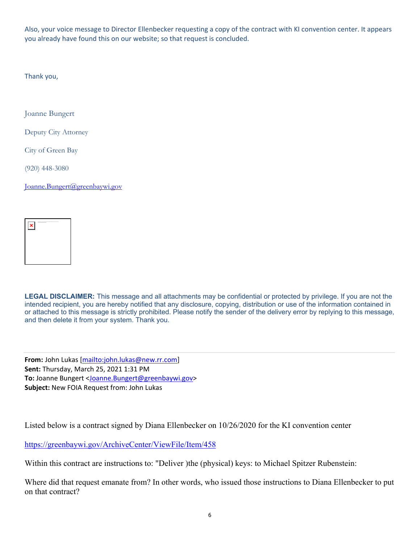Also, your voice message to Director Ellenbecker requesting a copy of the contract with KI convention center. It appears you already have found this on our website; so that request is concluded.

Thank you,

Joanne Bungert

Deputy City Attorney

City of Green Bay

(920) 448-3080

Joanne.Bungert@greenbaywi.gov



**LEGAL DISCLAIMER:** This message and all attachments may be confidential or protected by privilege. If you are not the intended recipient, you are hereby notified that any disclosure, copying, distribution or use of the information contained in or attached to this message is strictly prohibited. Please notify the sender of the delivery error by replying to this message, and then delete it from your system. Thank you.

**From:** John Lukas [mailto:john.lukas@new.rr.com] **Sent:** Thursday, March 25, 2021 1:31 PM **To:** Joanne Bungert <Joanne.Bungert@greenbaywi.gov> **Subject:** New FOIA Request from: John Lukas

Listed below is a contract signed by Diana Ellenbecker on 10/26/2020 for the KI convention center

https://greenbaywi.gov/ArchiveCenter/ViewFile/Item/458

Within this contract are instructions to: "Deliver )the (physical) keys: to Michael Spitzer Rubenstein:

Where did that request emanate from? In other words, who issued those instructions to Diana Ellenbecker to put on that contract?